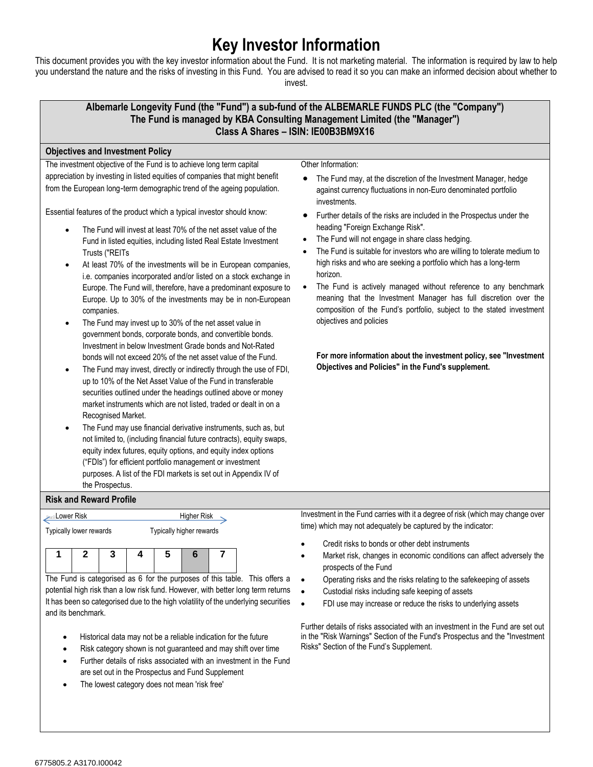## **Key Investor Information**

This document provides you with the key investor information about the Fund. It is not marketing material. The information is required by law to help you understand the nature and the risks of investing in this Fund. You are advised to read it so you can make an informed decision about whether to invest.



Further details of risks associated with an investment in the Fund are set out in the "Risk Warnings" Section of the Fund's Prospectus and the "Investment Risks" Section of the Fund's Supplement.

- Historical data may not be a reliable indication for the future
- Risk category shown is not guaranteed and may shift over time
- Further details of risks associated with an investment in the Fund are set out in the Prospectus and Fund Supplement
- The lowest category does not mean 'risk free'